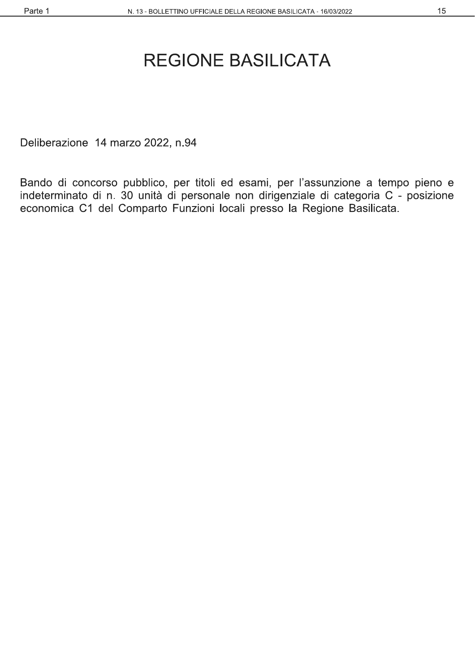#### 15

# **REGIONE BASILICATA**

Deliberazione 14 marzo 2022, n.94

Bando di concorso pubblico, per titoli ed esami, per l'assunzione a tempo pieno e indeterminato di n. 30 unità di personale non dirigenziale di categoria C - posizione economica C1 del Comparto Funzioni locali presso la Regione Basilicata.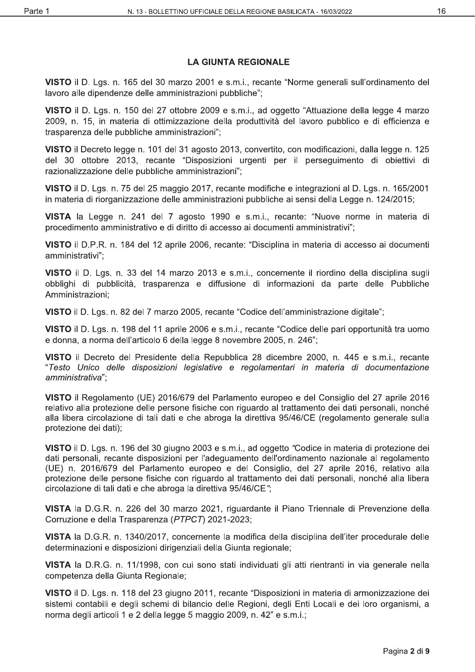#### **LA GIUNTA REGIONALE**

VISTO il D. Lgs. n. 165 del 30 marzo 2001 e s.m.i., recante "Norme generali sull'ordinamento del lavoro alle dipendenze delle amministrazioni pubbliche":

VISTO il D. Lgs. n. 150 del 27 ottobre 2009 e s.m.i., ad oggetto "Attuazione della legge 4 marzo 2009, n. 15, in materia di ottimizzazione della produttività del lavoro pubblico e di efficienza e trasparenza delle pubbliche amministrazioni";

VISTO il Decreto legge n. 101 del 31 agosto 2013, convertito, con modificazioni, dalla legge n. 125 del 30 ottobre 2013, recante "Disposizioni urgenti per il perseguimento di obiettivi di razionalizzazione delle pubbliche amministrazioni":

VISTO il D. Lgs. n. 75 del 25 maggio 2017, recante modifiche e integrazioni al D. Lgs. n. 165/2001 in materia di riorganizzazione delle amministrazioni pubbliche ai sensi della Legge n. 124/2015;

VISTA la Legge n. 241 del 7 agosto 1990 e s.m.i., recante: "Nuove norme in materia di procedimento amministrativo e di diritto di accesso ai documenti amministrativi";

VISTO il D.P.R. n. 184 del 12 aprile 2006, recante: "Disciplina in materia di accesso ai documenti amministrativi":

VISTO il D. Lgs. n. 33 del 14 marzo 2013 e s.m.i., concernente il riordino della disciplina sugli obblighi di pubblicità, trasparenza e diffusione di informazioni da parte delle Pubbliche Amministrazioni:

VISTO il D. Lgs. n. 82 del 7 marzo 2005, recante "Codice dell'amministrazione digitale":

VISTO il D. Lgs. n. 198 del 11 aprile 2006 e s.m.i., recante "Codice delle pari opportunità tra uomo e donna, a norma dell'articolo 6 della legge 8 novembre 2005, n. 246";

VISTO il Decreto del Presidente della Repubblica 28 dicembre 2000, n. 445 e s.m.i., recante "Testo Unico delle disposizioni legislative e regolamentari in materia di documentazione amministrativa";

VISTO il Regolamento (UE) 2016/679 del Parlamento europeo e del Consiglio del 27 aprile 2016 relativo alla protezione delle persone fisiche con riguardo al trattamento dei dati personali, nonché alla libera circolazione di tali dati e che abroga la direttiva 95/46/CE (regolamento generale sulla protezione dei dati);

VISTO il D. Lgs. n. 196 del 30 giugno 2003 e s.m.i., ad oggetto "Codice in materia di protezione dei dati personali, recante disposizioni per l'adeguamento dell'ordinamento nazionale al regolamento (UE) n. 2016/679 del Parlamento europeo e del Consiglio, del 27 aprile 2016, relativo alla protezione delle persone fisiche con riguardo al trattamento dei dati personali, nonché alla libera circolazione di tali dati e che abroga la direttiva 95/46/CE";

VISTA la D.G.R. n. 226 del 30 marzo 2021, riguardante il Piano Triennale di Prevenzione della Corruzione e della Trasparenza (PTPCT) 2021-2023;

VISTA la D.G.R. n. 1340/2017, concernente la modifica della disciplina dell'iter procedurale delle determinazioni e disposizioni dirigenziali della Giunta regionale;

VISTA la D.R.G. n. 11/1998, con cui sono stati individuati gli atti rientranti in via generale nella competenza della Giunta Regionale;

VISTO il D. Lgs. n. 118 del 23 giugno 2011, recante "Disposizioni in materia di armonizzazione dei sistemi contabili e degli schemi di bilancio delle Regioni, degli Enti Locali e dei loro organismi, a norma degli articoli 1 e 2 della legge 5 maggio 2009, n. 42" e s.m.i.;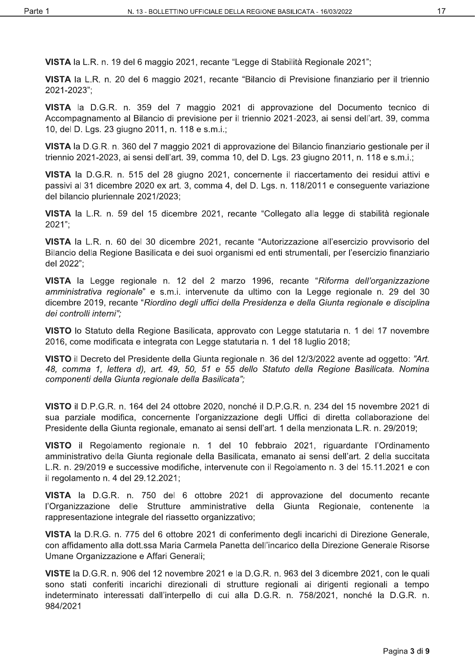VISTA la L.R. n. 19 del 6 maggio 2021, recante "Legge di Stabilità Regionale 2021";

VISTA la L.R. n. 20 del 6 maggio 2021, recante "Bilancio di Previsione finanziario per il triennio 2021-2023";

VISTA la D.G.R. n. 359 del 7 maggio 2021 di approvazione del Documento tecnico di Accompagnamento al Bilancio di previsione per il triennio 2021-2023, ai sensi dell'art. 39, comma 10, del D. Lgs. 23 giugno 2011, n. 118 e s.m.i.;

VISTA la D.G.R. n. 360 del 7 maggio 2021 di approvazione del Bilancio finanziario gestionale per il triennio 2021-2023, ai sensi dell'art. 39, comma 10, del D. Lgs. 23 giugno 2011, n. 118 e s.m.i.;

VISTA la D.G.R. n. 515 del 28 giugno 2021, concernente il riaccertamento dei residui attivi e passivi al 31 dicembre 2020 ex art. 3, comma 4, del D. Lgs. n. 118/2011 e consequente variazione del bilancio pluriennale 2021/2023;

VISTA la L.R. n. 59 del 15 dicembre 2021, recante "Collegato alla legge di stabilità regionale  $2021$ ";

VISTA la L.R. n. 60 del 30 dicembre 2021, recante "Autorizzazione all'esercizio provvisorio del Bilancio della Regione Basilicata e dei suoi organismi ed enti strumentali, per l'esercizio finanziario del 2022":

VISTA la Legge regionale n. 12 del 2 marzo 1996, recante "Riforma dell'organizzazione amministrativa regionale" e s.m.i. intervenute da ultimo con la Legge regionale n. 29 del 30 dicembre 2019, recante "Riordino degli uffici della Presidenza e della Giunta regionale e disciplina dei controlli interni":

VISTO lo Statuto della Regione Basilicata, approvato con Legge statutaria n. 1 del 17 novembre 2016, come modificata e integrata con Legge statutaria n. 1 del 18 luglio 2018;

VISTO il Decreto del Presidente della Giunta regionale n. 36 del 12/3/2022 avente ad oggetto: "Art. 48, comma 1, lettera d), art. 49, 50, 51 e 55 dello Statuto della Regione Basilicata. Nomina componenti della Giunta regionale della Basilicata";

VISTO il D.P.G.R. n. 164 del 24 ottobre 2020, nonché il D.P.G.R. n. 234 del 15 novembre 2021 di sua parziale modifica, concernente l'organizzazione degli Uffici di diretta collaborazione del Presidente della Giunta regionale, emanato ai sensi dell'art. 1 della menzionata L.R. n. 29/2019;

VISTO il Regolamento regionale n. 1 del 10 febbraio 2021, riguardante l'Ordinamento amministrativo della Giunta regionale della Basilicata, emanato ai sensi dell'art. 2 della succitata L.R. n. 29/2019 e successive modifiche, intervenute con il Regolamento n. 3 del 15.11.2021 e con il regolamento n. 4 del 29.12.2021;

VISTA la D.G.R. n. 750 del 6 ottobre 2021 di approvazione del documento recante l'Organizzazione delle Strutture amministrative della Giunta Regionale, contenente la rappresentazione integrale del riassetto organizzativo;

VISTA la D.R.G. n. 775 del 6 ottobre 2021 di conferimento degli incarichi di Direzione Generale, con affidamento alla dott.ssa Maria Carmela Panetta dell'incarico della Direzione Generale Risorse Umane Organizzazione e Affari Generali:

VISTE la D.G.R. n. 906 del 12 novembre 2021 e la D.G.R. n. 963 del 3 dicembre 2021, con le quali sono stati conferiti incarichi direzionali di strutture regionali ai dirigenti regionali a tempo indeterminato interessati dall'interpello di cui alla D.G.R. n. 758/2021, nonché la D.G.R. n. 984/2021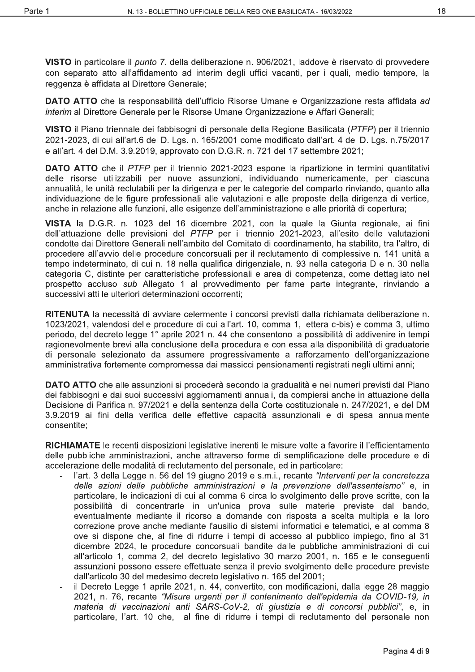VISTO in particolare il punto 7. della deliberazione n. 906/2021, laddove è riservato di provvedere con separato atto all'affidamento ad interim degli uffici vacanti, per i quali, medio tempore, la reggenza è affidata al Direttore Generale:

DATO ATTO che la responsabilità dell'ufficio Risorse Umane e Organizzazione resta affidata ad interim al Direttore Generale per le Risorse Umane Organizzazione e Affari Generali;

VISTO il Piano triennale dei fabbisogni di personale della Regione Basilicata (PTFP) per il triennio 2021-2023, di cui all'art.6 del D. Lgs. n. 165/2001 come modificato dall'art. 4 del D. Lgs. n.75/2017 e all'art. 4 del D.M. 3.9.2019, approvato con D.G.R. n. 721 del 17 settembre 2021;

**DATO ATTO** che il PTFP per il triennio 2021-2023 espone la ripartizione in termini quantitativi delle risorse utilizzabili per nuove assunzioni, individuando numericamente, per ciascuna annualità, le unità reclutabili per la dirigenza e per le categorie del comparto rinviando, quanto alla individuazione delle figure professionali alle valutazioni e alle proposte della dirigenza di vertice, anche in relazione alle funzioni, alle esigenze dell'amministrazione e alle priorità di copertura:

VISTA la D.G.R. n. 1023 del 16 dicembre 2021, con la quale la Giunta regionale, ai fini dell'attuazione delle previsioni del PTFP per il triennio 2021-2023, all'esito delle valutazioni condotte dai Direttore Generali nell'ambito del Comitato di coordinamento, ha stabilito, tra l'altro, di procedere all'avvio delle procedure concorsuali per il reclutamento di complessive n. 141 unità a tempo indeterminato, di cui n. 18 nella qualifica dirigenziale, n. 93 nella categoria D e n. 30 nella categoria C, distinte per caratteristiche professionali e area di competenza, come dettagliato nel prospetto accluso sub Allegato 1 al provvedimento per farne parte integrante, rinviando a successivi atti le ulteriori determinazioni occorrenti:

RITENUTA la necessità di avviare celermente i concorsi previsti dalla richiamata deliberazione n. 1023/2021, valendosi delle procedure di cui all'art. 10, comma 1, lettera c-bis) e comma 3, ultimo periodo, del decreto legge 1° aprile 2021 n. 44 che consentono la possibilità di addivenire in tempi ragionevolmente brevi alla conclusione della procedura e con essa alla disponibilità di graduatorie di personale selezionato da assumere progressivamente a rafforzamento dell'organizzazione amministrativa fortemente compromessa dai massicci pensionamenti registrati negli ultimi anni:

DATO ATTO che alle assunzioni si procederà secondo la gradualità e nei numeri previsti dal Piano dei fabbisogni e dai suoi successivi aggiornamenti annuali, da compiersi anche in attuazione della Decisione di Parifica n. 97/2021 e della sentenza della Corte costituzionale n. 247/2021, e del DM 3.9.2019 ai fini della verifica delle effettive capacità assunzionali e di spesa annualmente consentite:

RICHIAMATE le recenti disposizioni legislative inerenti le misure volte a favorire il l'efficientamento delle pubbliche amministrazioni, anche attraverso forme di semplificazione delle procedure e di accelerazione delle modalità di reclutamento del personale, ed in particolare:

- l'art. 3 della Legge n. 56 del 19 giugno 2019 e s.m.i., recante "Interventi per la concretezza delle azioni delle pubbliche amministrazioni e la prevenzione dell'assenteismo" e, in particolare, le indicazioni di cui al comma 6 circa lo svolgimento delle prove scritte, con la possibilità di concentrarle in un'unica prova sulle materie previste dal bando, eventualmente mediante il ricorso a domande con risposta a scelta multipla e la loro correzione prove anche mediante l'ausilio di sistemi informatici e telematici, e al comma 8 ove si dispone che, al fine di ridurre i tempi di accesso al pubblico impiego, fino al 31 dicembre 2024, le procedure concorsuali bandite dalle pubbliche amministrazioni di cui all'articolo 1, comma 2, del decreto legislativo 30 marzo 2001, n. 165 e le conseguenti assunzioni possono essere effettuate senza il previo svolgimento delle procedure previste dall'articolo 30 del medesimo decreto legislativo n. 165 del 2001;
- il Decreto Legge 1 aprile 2021, n. 44, convertito, con modificazioni, dalla legge 28 maggio 2021, n. 76, recante "Misure urgenti per il contenimento dell'epidemia da COVID-19, in materia di vaccinazioni anti SARS-CoV-2, di giustizia e di concorsi pubblici", e, in particolare, l'art. 10 che, al fine di ridurre i tempi di reclutamento del personale non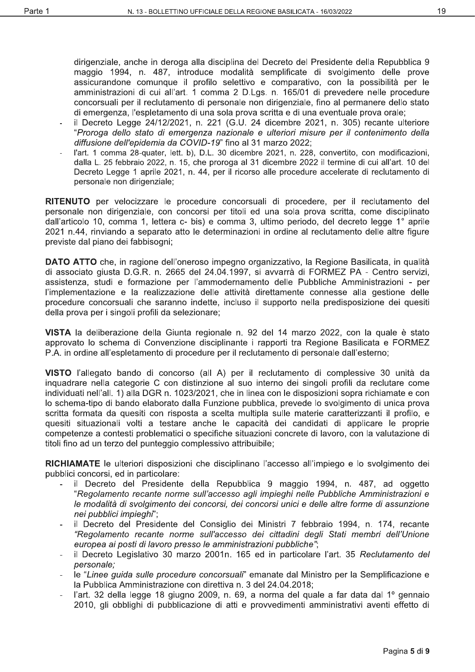dirigenziale, anche in deroga alla disciplina del Decreto del Presidente della Repubblica 9 maggio 1994, n. 487, introduce modalità semplificate di svolgimento delle prove assicurandone comunque il profilo selettivo e comparativo, con la possibilità per le amministrazioni di cui all'art. 1 comma 2 D.Lgs. n. 165/01 di prevedere nelle procedure concorsuali per il reclutamento di personale non dirigenziale, fino al permanere dello stato di emergenza, l'espletamento di una sola prova scritta e di una eventuale prova orale;

- il Decreto Legge 24/12/2021, n. 221 (G.U. 24 dicembre 2021, n. 305) recante ulteriore "Proroga dello stato di emergenza nazionale e ulteriori misure per il contenimento della diffusione dell'epidemia da COVID-19" fino al 31 marzo 2022;
- l'art. 1 comma 28-quater, lett. b), D.L. 30 dicembre 2021, n. 228, convertito, con modificazioni, dalla L. 25 febbraio 2022, n. 15, che proroga al 31 dicembre 2022 il termine di cui all'art. 10 del Decreto Legge 1 aprile 2021, n. 44, per il ricorso alle procedure accelerate di reclutamento di personale non dirigenziale;

RITENUTO per velocizzare le procedure concorsuali di procedere, per il reclutamento del personale non dirigenziale, con concorsi per titoli ed una sola prova scritta, come disciplinato dall'articolo 10, comma 1, lettera c- bis) e comma 3, ultimo periodo, del decreto legge 1° aprile 2021 n.44, rinviando a separato atto le determinazioni in ordine al reclutamento delle altre figure previste dal piano dei fabbisogni:

DATO ATTO che, in ragione dell'oneroso impegno organizzativo, la Regione Basilicata, in qualità di associato giusta D.G.R. n. 2665 del 24.04.1997, si avvarrà di FORMEZ PA - Centro servizi, assistenza, studi e formazione per l'ammodernamento delle Pubbliche Amministrazioni - per l'implementazione e la realizzazione delle attività direttamente connesse alla gestione delle procedure concorsuali che saranno indette, incluso il supporto nella predisposizione dei quesiti della prova per i singoli profili da selezionare;

VISTA la deliberazione della Giunta regionale n. 92 del 14 marzo 2022, con la quale è stato approvato lo schema di Convenzione disciplinante i rapporti tra Regione Basilicata e FORMEZ P.A. in ordine all'espletamento di procedure per il reclutamento di personale dall'esterno;

VISTO l'allegato bando di concorso (all A) per il reclutamento di complessive 30 unità da inquadrare nella categorie C con distinzione al suo interno dei singoli profili da reclutare come individuati nell'all. 1) alla DGR n. 1023/2021, che in linea con le disposizioni sopra richiamate e con lo schema-tipo di bando elaborato dalla Funzione pubblica, prevede lo svolgimento di unica prova scritta formata da quesiti con risposta a scelta multipla sulle materie caratterizzanti il profilo, e quesiti situazionali volti a testare anche le capacità dei candidati di applicare le proprie competenze a contesti problematici o specifiche situazioni concrete di lavoro, con la valutazione di titoli fino ad un terzo del punteggio complessivo attribuibile;

RICHIAMATE le ulteriori disposizioni che disciplinano l'accesso all'impiego e lo svolgimento dei pubblici concorsi, ed in particolare:

- il Decreto del Presidente della Repubblica 9 maggio 1994, n. 487, ad oggetto "Regolamento recante norme sull'accesso agli impieghi nelle Pubbliche Amministrazioni e le modalità di svolgimento dei concorsi, dei concorsi unici e delle altre forme di assunzione nei pubblici impieghi";
- il Decreto del Presidente del Consiglio dei Ministri 7 febbraio 1994, n. 174, recante "Regolamento recante norme sull'accesso dei cittadini degli Stati membri dell'Unione europea ai posti di lavoro presso le amministrazioni pubbliche";
- il Decreto Legislativo 30 marzo 2001n. 165 ed in particolare l'art. 35 Reclutamento del personale:
- le "Linee guida sulle procedure concorsuali" emanate dal Ministro per la Semplificazione e la Pubblica Amministrazione con direttiva n. 3 del 24.04.2018;
- l'art. 32 della legge 18 giugno 2009, n. 69, a norma del quale a far data dal 1º gennaio 2010, gli obblighi di pubblicazione di atti e provvedimenti amministrativi aventi effetto di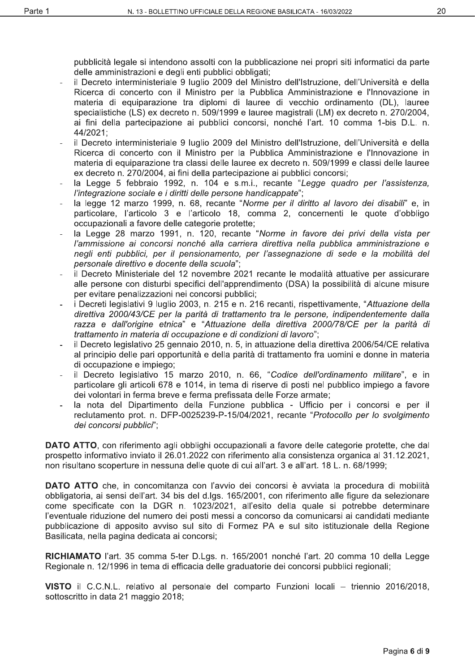20

pubblicità legale si intendono assolti con la pubblicazione nei propri siti informatici da parte delle amministrazioni e degli enti pubblici obbligati;

- il Decreto interministeriale 9 luglio 2009 del Ministro dell'Istruzione, dell'Università e della Ricerca di concerto con il Ministro per la Pubblica Amministrazione e l'Innovazione in materia di equiparazione tra diplomi di lauree di vecchio ordinamento (DL), lauree specialistiche (LS) ex decreto n. 509/1999 e lauree magistrali (LM) ex decreto n. 270/2004, ai fini della partecipazione ai pubblici concorsi, nonché l'art. 10 comma 1-bis D.L. n. 44/2021:
- il Decreto interministeriale 9 luglio 2009 del Ministro dell'Istruzione, dell'Università e della Ricerca di concerto con il Ministro per la Pubblica Amministrazione e l'Innovazione in materia di equiparazione tra classi delle lauree ex decreto n. 509/1999 e classi delle lauree ex decreto n. 270/2004, ai fini della partecipazione ai pubblici concorsi;
- la Legge 5 febbraio 1992, n. 104 e s.m.i., recante "Legge quadro per l'assistenza, l'integrazione sociale e i diritti delle persone handicappate";
- la legge 12 marzo 1999, n. 68, recante "Norme per il diritto al lavoro dei disabili" e, in particolare, l'articolo 3 e l'articolo 18, comma 2, concernenti le quote d'obbligo occupazionali a favore delle categorie protette:
- la Legge 28 marzo 1991, n. 120, recante "Norme in favore dei privi della vista per l'ammissione ai concorsi nonché alla carriera direttiva nella pubblica amministrazione e negli enti pubblici, per il pensionamento, per l'assegnazione di sede e la mobilità del personale direttivo e docente della scuola";
- il Decreto Ministeriale del 12 novembre 2021 recante le modalità attuative per assicurare alle persone con disturbi specifici dell'apprendimento (DSA) la possibilità di alcune misure per evitare penalizzazioni nei concorsi pubblici;
- i Decreti legislativi 9 luglio 2003, n. 215 e n. 216 recanti, rispettivamente, "Attuazione della direttiva 2000/43/CE per la parità di trattamento tra le persone, indipendentemente dalla razza e dall'origine etnica" e "Attuazione della direttiva 2000/78/CE per la parità di trattamento in materia di occupazione e di condizioni di lavoro";
- il Decreto legislativo 25 gennaio 2010, n. 5, in attuazione della direttiva 2006/54/CE relativa al principio delle pari opportunità e della parità di trattamento fra uomini e donne in materia di occupazione e impiego;
- il Decreto legislativo 15 marzo 2010, n. 66, "Codice dell'ordinamento militare", e in particolare gli articoli 678 e 1014, in tema di riserve di posti nel pubblico impiego a favore dei volontari in ferma breve e ferma prefissata delle Forze armate;
- la nota del Dipartimento della Funzione pubblica Ufficio per i concorsi e per il reclutamento prot. n. DFP-0025239-P-15/04/2021, recante "Protocollo per lo svolgimento dei concorsi pubblici":

**DATO ATTO**, con riferimento agli obblighi occupazionali a favore delle categorie protette, che dal prospetto informativo inviato il 26.01.2022 con riferimento alla consistenza organica al 31.12.2021, non risultano scoperture in nessuna delle quote di cui all'art. 3 e all'art. 18 L. n. 68/1999;

**DATO ATTO** che, in concomitanza con l'avvio dei concorsi è avviata la procedura di mobilità obbligatoria, ai sensi dell'art. 34 bis del d.lgs. 165/2001, con riferimento alle figure da selezionare come specificate con la DGR n. 1023/2021, all'esito della quale si potrebbe determinare l'eventuale riduzione del numero dei posti messi a concorso da comunicarsi ai candidati mediante pubblicazione di apposito avviso sul sito di Formez PA e sul sito istituzionale della Regione Basilicata, nella pagina dedicata ai concorsi;

RICHIAMATO l'art. 35 comma 5-ter D.Lgs. n. 165/2001 nonché l'art. 20 comma 10 della Legge Regionale n. 12/1996 in tema di efficacia delle graduatorie dei concorsi pubblici regionali:

VISTO il C.C.N.L. relativo al personale del comparto Funzioni locali – triennio 2016/2018, sottoscritto in data 21 maggio 2018;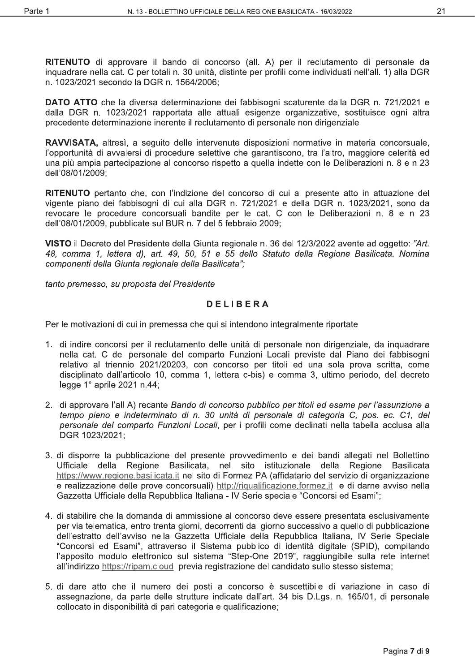RITENUTO di approvare il bando di concorso (all. A) per il reclutamento di personale da inquadrare nella cat. C per totali n. 30 unità, distinte per profili come individuati nell'all. 1) alla DGR n. 1023/2021 secondo la DGR n. 1564/2006;

DATO ATTO che la diversa determinazione dei fabbisogni scaturente dalla DGR n. 721/2021 e dalla DGR n. 1023/2021 rapportata alle attuali esigenze organizzative, sostituisce ogni altra precedente determinazione inerente il reclutamento di personale non dirigenziale

RAVVISATA, altresì, a seguito delle intervenute disposizioni normative in materia concorsuale, l'opportunità di avvalersi di procedure selettive che garantiscono, tra l'altro, maggiore celerità ed una più ampia partecipazione al concorso rispetto a quella indette con le Deliberazioni n. 8 e n 23 dell'08/01/2009;

RITENUTO pertanto che, con l'indizione del concorso di cui al presente atto in attuazione del vigente piano dei fabbisogni di cui alla DGR n. 721/2021 e della DGR n. 1023/2021, sono da revocare le procedure concorsuali bandite per le cat. C con le Deliberazioni n. 8 e n 23 dell'08/01/2009, pubblicate sul BUR n. 7 del 5 febbraio 2009;

VISTO il Decreto del Presidente della Giunta regionale n. 36 del 12/3/2022 avente ad oggetto: "Art. 48, comma 1, lettera d), art. 49, 50, 51 e 55 dello Statuto della Regione Basilicata. Nomina componenti della Giunta regionale della Basilicata";

tanto premesso, su proposta del Presidente

#### **DELIBERA**

Per le motivazioni di cui in premessa che qui si intendono integralmente riportate

- 1. di indire concorsi per il reclutamento delle unità di personale non dirigenziale, da inquadrare nella cat. C del personale del comparto Funzioni Locali previste dal Piano dei fabbisogni relativo al triennio 2021/20203, con concorso per titoli ed una sola prova scritta, come disciplinato dall'articolo 10, comma 1, lettera c-bis) e comma 3, ultimo periodo, del decreto legge 1° aprile 2021 n.44;
- 2. di approvare l'all A) recante Bando di concorso pubblico per titoli ed esame per l'assunzione a tempo pieno e indeterminato di n. 30 unità di personale di categoria C, pos. ec. C1, del personale del comparto Funzioni Locali, per i profili come declinati nella tabella acclusa alla DGR 1023/2021:
- 3. di disporre la pubblicazione del presente provvedimento e dei bandi allegati nel Bollettino Ufficiale della Regione Basilicata, nel sito istituzionale della Regione Basilicata https://www.regione.basilicata.it nel sito di Formez PA (affidatario del servizio di organizzazione e realizzazione delle prove concorsuali) http://rigualificazione.formez.it e di darne avviso nella Gazzetta Ufficiale della Repubblica Italiana - IV Serie speciale "Concorsi ed Esami";
- 4. di stabilire che la domanda di ammissione al concorso deve essere presentata esclusivamente per via telematica, entro trenta giorni, decorrenti dal giorno successivo a quello di pubblicazione dell'estratto dell'avviso nella Gazzetta Ufficiale della Repubblica Italiana, IV Serie Speciale "Concorsi ed Esami", attraverso il Sistema pubblico di identità digitale (SPID), compilando l'apposito modulo elettronico sul sistema "Step-One 2019", raggiungibile sulla rete internet all'indirizzo https://ripam.cloud previa registrazione del candidato sullo stesso sistema:
- 5. di dare atto che il numero dei posti a concorso è suscettibile di variazione in caso di assegnazione, da parte delle strutture indicate dall'art. 34 bis D.Lgs. n. 165/01, di personale collocato in disponibilità di pari categoria e qualificazione;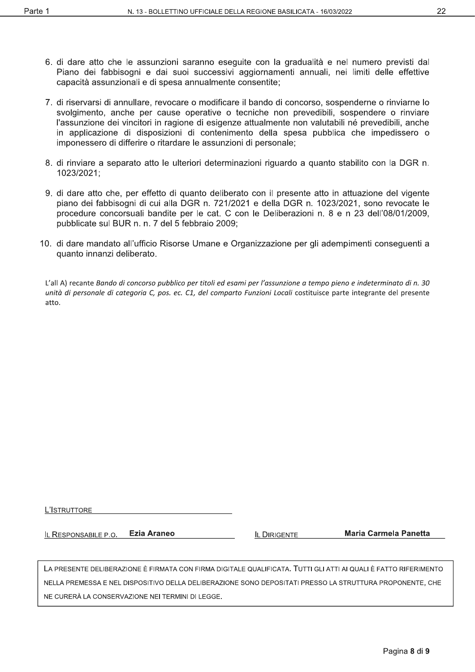- 6. di dare atto che le assunzioni saranno eseguite con la gradualità e nel numero previsti dal Piano dei fabbisogni e dai suoi successivi aggiornamenti annuali, nei limiti delle effettive capacità assunzionali e di spesa annualmente consentite;
- 7. di riservarsi di annullare, revocare o modificare il bando di concorso, sospenderne o rinviarne lo svolgimento, anche per cause operative o tecniche non prevedibili, sospendere o rinviare l'assunzione dei vincitori in ragione di esigenze attualmente non valutabili né prevedibili, anche in applicazione di disposizioni di contenimento della spesa pubblica che impedissero o imponessero di differire o ritardare le assunzioni di personale;
- 8. di rinviare a separato atto le ulteriori determinazioni riguardo a quanto stabilito con la DGR n. 1023/2021;
- 9. di dare atto che, per effetto di quanto deliberato con il presente atto in attuazione del vigente piano dei fabbisogni di cui alla DGR n. 721/2021 e della DGR n. 1023/2021, sono revocate le procedure concorsuali bandite per le cat. C con le Deliberazioni n. 8 e n 23 dell'08/01/2009, pubblicate sul BUR n. n. 7 del 5 febbraio 2009;
- 10. di dare mandato all'ufficio Risorse Umane e Organizzazione per gli adempimenti conseguenti a quanto innanzi deliberato.

L'all A) recante Bando di concorso pubblico per titoli ed esami per l'assunzione a tempo pieno e indeterminato di n. 30 unità di personale di categoria C, pos. ec. C1, del comparto Funzioni Locali costituisce parte integrante del presente atto.

| L'ISTRUTTORE |
|--------------|
|--------------|

**Ezia Araneo** IL RESPONSABILE P.O.

**IL DIRIGENTE** 

**Maria Carmela Panetta** 

LA PRESENTE DELIBERAZIONE È FIRMATA CON FIRMA DIGITALE QUALIFICATA. TUTTI GLI ATTI AI QUALI È FATTO RIFERIMENTO NELLA PREMESSA E NEL DISPOSITIVO DELLA DELIBERAZIONE SONO DEPOSITATI PRESSO LA STRUTTURA PROPONENTE. CHE NE CURERÀ LA CONSERVAZIONE NEI TERMINI DI LEGGE.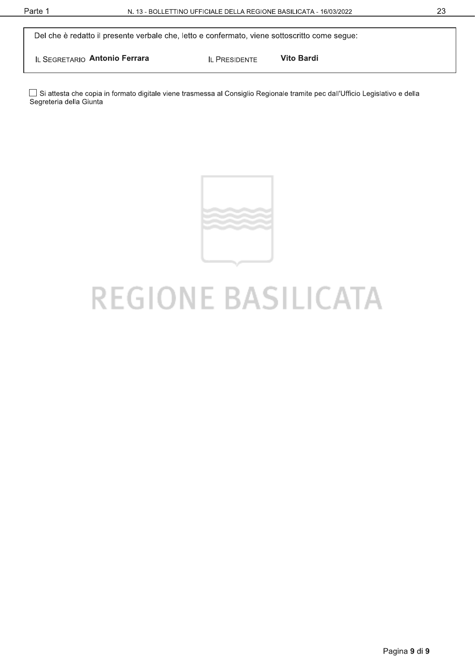Del che è redatto il presente verbale che, letto e confermato, viene sottoscritto come segue:

IL SEGRETARIO Antonio Ferrara

**IL PRESIDENTE** 

**Vito Bardi** 

□ Si attesta che copia in formato digitale viene trasmessa al Consiglio Regionale tramite pec dall'Ufficio Legislativo e della Segreteria della Giunta



# **REGIONE BASILICATA**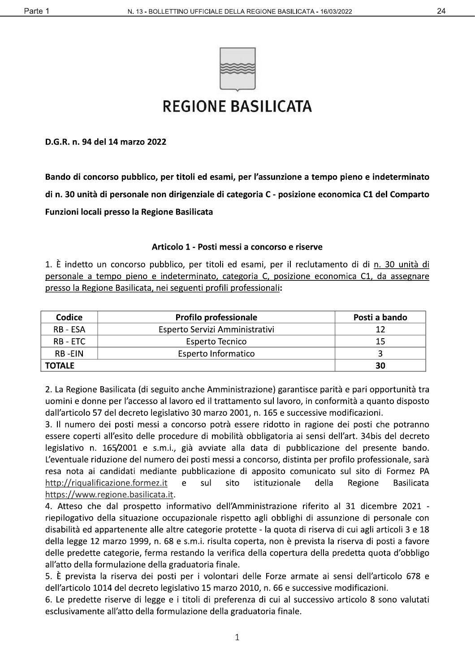



# **REGIONE BASILICATA**

D.G.R. n. 94 del 14 marzo 2022

Bando di concorso pubblico, per titoli ed esami, per l'assunzione a tempo pieno e indeterminato di n. 30 unità di personale non dirigenziale di categoria C - posizione economica C1 del Comparto Funzioni locali presso la Regione Basilicata

#### Articolo 1 - Posti messi a concorso e riserve

1. È indetto un concorso pubblico, per titoli ed esami, per il reclutamento di di n. 30 unità di personale a tempo pieno e indeterminato, categoria C, posizione economica C1, da assegnare presso la Regione Basilicata, nei seguenti profili professionali:

| Codice        | <b>Profilo professionale</b>   | Posti a bando |
|---------------|--------------------------------|---------------|
| RB - ESA      | Esperto Servizi Amministrativi |               |
| RB - ETC      | Esperto Tecnico                | 15            |
| RB-FIN        | Esperto Informatico            |               |
| <b>TOTALE</b> |                                | 30            |

2. La Regione Basilicata (di seguito anche Amministrazione) garantisce parità e pari opportunità tra uomini e donne per l'accesso al lavoro ed il trattamento sul lavoro, in conformità a quanto disposto dall'articolo 57 del decreto legislativo 30 marzo 2001, n. 165 e successive modificazioni.

3. Il numero dei posti messi a concorso potrà essere ridotto in ragione dei posti che potranno essere coperti all'esito delle procedure di mobilità obbligatoria ai sensi dell'art. 34bis del decreto legislativo n. 165/2001 e s.m.i., già avviate alla data di pubblicazione del presente bando. L'eventuale riduzione del numero dei posti messi a concorso, distinta per profilo professionale, sarà resa nota ai candidati mediante pubblicazione di apposito comunicato sul sito di Formez PA http://riqualificazione.formez.it  $\mathsf{e}% _{0}\left( \mathsf{e}\right)$ sul sito istituzionale della Regione **Basilicata** https://www.regione.basilicata.it.

4. Atteso che dal prospetto informativo dell'Amministrazione riferito al 31 dicembre 2021 riepilogativo della situazione occupazionale rispetto agli obblighi di assunzione di personale con disabilità ed appartenente alle altre categorie protette - la quota di riserva di cui agli articoli 3 e 18 della legge 12 marzo 1999, n. 68 e s.m.i. risulta coperta, non è prevista la riserva di posti a favore delle predette categorie, ferma restando la verifica della copertura della predetta quota d'obbligo all'atto della formulazione della graduatoria finale.

5. È prevista la riserva dei posti per i volontari delle Forze armate ai sensi dell'articolo 678 e dell'articolo 1014 del decreto legislativo 15 marzo 2010, n. 66 e successive modificazioni.

6. Le predette riserve di legge e i titoli di preferenza di cui al successivo articolo 8 sono valutati esclusivamente all'atto della formulazione della graduatoria finale.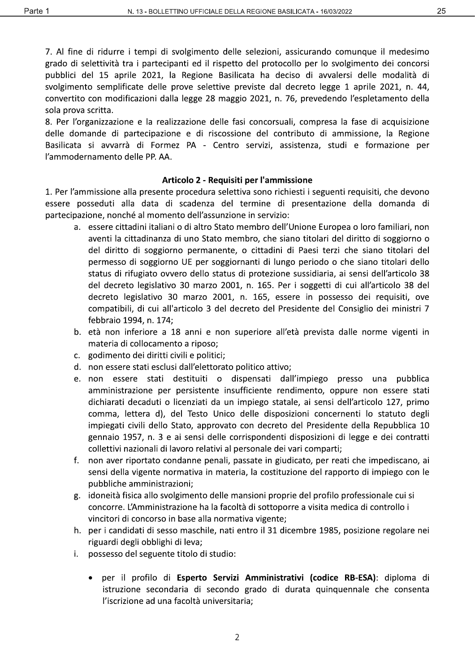25

7. Al fine di ridurre i tempi di svolgimento delle selezioni, assicurando comunque il medesimo grado di selettività tra i partecipanti ed il rispetto del protocollo per lo svolgimento dei concorsi pubblici del 15 aprile 2021, la Regione Basilicata ha deciso di avvalersi delle modalità di svolgimento semplificate delle prove selettive previste dal decreto legge 1 aprile 2021, n. 44, convertito con modificazioni dalla legge 28 maggio 2021, n. 76, prevedendo l'espletamento della sola prova scritta.

8. Per l'organizzazione e la realizzazione delle fasi concorsuali, compresa la fase di acquisizione delle domande di partecipazione e di riscossione del contributo di ammissione, la Regione Basilicata si avvarrà di Formez PA - Centro servizi, assistenza, studi e formazione per l'ammodernamento delle PP. AA.

#### Articolo 2 - Requisiti per l'ammissione

1. Per l'ammissione alla presente procedura selettiva sono richiesti i seguenti requisiti, che devono essere posseduti alla data di scadenza del termine di presentazione della domanda di partecipazione, nonché al momento dell'assunzione in servizio:

- a. essere cittadini italiani o di altro Stato membro dell'Unione Europea o loro familiari, non aventi la cittadinanza di uno Stato membro, che siano titolari del diritto di soggiorno o del diritto di soggiorno permanente, o cittadini di Paesi terzi che siano titolari del permesso di soggiorno UE per soggiornanti di lungo periodo o che siano titolari dello status di rifugiato ovvero dello status di protezione sussidiaria, ai sensi dell'articolo 38 del decreto legislativo 30 marzo 2001, n. 165. Per i soggetti di cui all'articolo 38 del decreto legislativo 30 marzo 2001, n. 165, essere in possesso dei requisiti, ove compatibili, di cui all'articolo 3 del decreto del Presidente del Consiglio dei ministri 7 febbraio 1994, n. 174;
- b. età non inferiore a 18 anni e non superiore all'età prevista dalle norme vigenti in materia di collocamento a riposo;
- c. godimento dei diritti civili e politici;
- d. non essere stati esclusi dall'elettorato politico attivo;
- e. non essere stati destituiti o dispensati dall'impiego presso una pubblica amministrazione per persistente insufficiente rendimento, oppure non essere stati dichiarati decaduti o licenziati da un impiego statale, ai sensi dell'articolo 127, primo comma, lettera d), del Testo Unico delle disposizioni concernenti lo statuto degli impiegati civili dello Stato, approvato con decreto del Presidente della Repubblica 10 gennaio 1957, n. 3 e ai sensi delle corrispondenti disposizioni di legge e dei contratti collettivi nazionali di lavoro relativi al personale dei vari comparti;
- f. non aver riportato condanne penali, passate in giudicato, per reati che impediscano, ai sensi della vigente normativa in materia, la costituzione del rapporto di impiego con le pubbliche amministrazioni;
- g. idoneità fisica allo svolgimento delle mansioni proprie del profilo professionale cui si concorre. L'Amministrazione ha la facoltà di sottoporre a visita medica di controllo i vincitori di concorso in base alla normativa vigente;
- h. per i candidati di sesso maschile, nati entro il 31 dicembre 1985, posizione regolare nei riguardi degli obblighi di leva;
- i. possesso del seguente titolo di studio:
	- per il profilo di Esperto Servizi Amministrativi (codice RB-ESA): diploma di istruzione secondaria di secondo grado di durata quinquennale che consenta l'iscrizione ad una facoltà universitaria;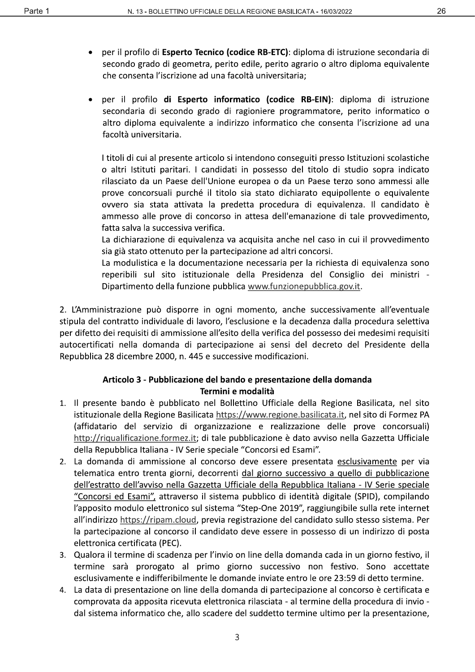- per il profilo di Esperto Tecnico (codice RB-ETC): diploma di istruzione secondaria di secondo grado di geometra, perito edile, perito agrario o altro diploma equivalente che consenta l'iscrizione ad una facoltà universitaria;
- per il profilo di Esperto informatico (codice RB-EIN): diploma di istruzione secondaria di secondo grado di ragioniere programmatore, perito informatico o altro diploma equivalente a indirizzo informatico che consenta l'iscrizione ad una facoltà universitaria.

I titoli di cui al presente articolo si intendono conseguiti presso Istituzioni scolastiche o altri Istituti paritari. I candidati in possesso del titolo di studio sopra indicato rilasciato da un Paese dell'Unione europea o da un Paese terzo sono ammessi alle prove concorsuali purché il titolo sia stato dichiarato equipollente o equivalente ovvero sia stata attivata la predetta procedura di equivalenza. Il candidato è ammesso alle prove di concorso in attesa dell'emanazione di tale provvedimento, fatta salva la successiva verifica.

La dichiarazione di equivalenza va acquisita anche nel caso in cui il provvedimento sia già stato ottenuto per la partecipazione ad altri concorsi.

La modulistica e la documentazione necessaria per la richiesta di equivalenza sono reperibili sul sito istituzionale della Presidenza del Consiglio dei ministri -Dipartimento della funzione pubblica www.funzionepubblica.gov.it.

2. L'Amministrazione può disporre in ogni momento, anche successivamente all'eventuale stipula del contratto individuale di lavoro, l'esclusione e la decadenza dalla procedura selettiva per difetto dei requisiti di ammissione all'esito della verifica del possesso dei medesimi requisiti autocertificati nella domanda di partecipazione ai sensi del decreto del Presidente della Repubblica 28 dicembre 2000, n. 445 e successive modificazioni.

#### Articolo 3 - Pubblicazione del bando e presentazione della domanda Termini e modalità

- 1. Il presente bando è pubblicato nel Bollettino Ufficiale della Regione Basilicata, nel sito istituzionale della Regione Basilicata https://www.regione.basilicata.it, nel sito di Formez PA (affidatario del servizio di organizzazione e realizzazione delle prove concorsuali) http://riqualificazione.formez.it; di tale pubblicazione è dato avviso nella Gazzetta Ufficiale della Repubblica Italiana - IV Serie speciale "Concorsi ed Esami".
- 2. La domanda di ammissione al concorso deve essere presentata esclusivamente per via telematica entro trenta giorni, decorrenti dal giorno successivo a quello di pubblicazione dell'estratto dell'avviso nella Gazzetta Ufficiale della Repubblica Italiana - IV Serie speciale "Concorsi ed Esami", attraverso il sistema pubblico di identità digitale (SPID), compilando l'apposito modulo elettronico sul sistema "Step-One 2019", raggiungibile sulla rete internet all'indirizzo https://ripam.cloud, previa registrazione del candidato sullo stesso sistema. Per la partecipazione al concorso il candidato deve essere in possesso di un indirizzo di posta elettronica certificata (PEC).
- 3. Qualora il termine di scadenza per l'invio on line della domanda cada in un giorno festivo, il termine sarà prorogato al primo giorno successivo non festivo. Sono accettate esclusivamente e indifferibilmente le domande inviate entro le ore 23:59 di detto termine.
- 4. La data di presentazione on line della domanda di partecipazione al concorso è certificata e comprovata da apposita ricevuta elettronica rilasciata - al termine della procedura di invio dal sistema informatico che, allo scadere del suddetto termine ultimo per la presentazione,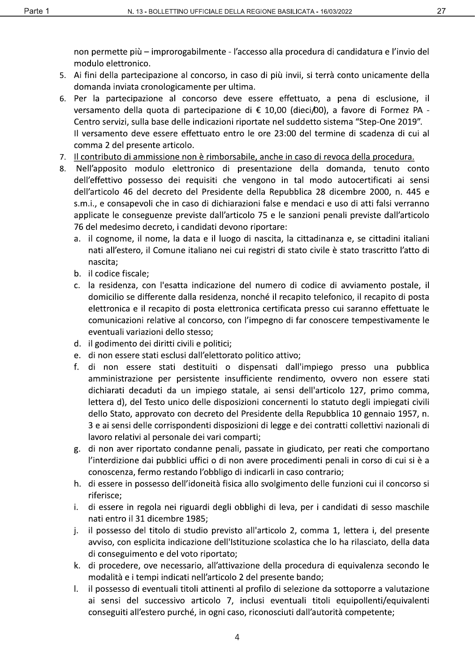non permette più – improrogabilmente - l'accesso alla procedura di candidatura e l'invio del modulo elettronico.

- 5. Ai fini della partecipazione al concorso, in caso di più invii, si terrà conto unicamente della domanda inviata cronologicamente per ultima.
- 6. Per la partecipazione al concorso deve essere effettuato, a pena di esclusione, il versamento della quota di partecipazione di € 10,00 (dieci/00), a favore di Formez PA -Centro servizi, sulla base delle indicazioni riportate nel suddetto sistema "Step-One 2019". Il versamento deve essere effettuato entro le ore 23:00 del termine di scadenza di cui al comma 2 del presente articolo.
- 7. Il contributo di ammissione non è rimborsabile, anche in caso di revoca della procedura.
- 8. Nell'apposito modulo elettronico di presentazione della domanda, tenuto conto dell'effettivo possesso dei requisiti che vengono in tal modo autocertificati ai sensi dell'articolo 46 del decreto del Presidente della Repubblica 28 dicembre 2000, n. 445 e s.m.i., e consapevoli che in caso di dichiarazioni false e mendaci e uso di atti falsi verranno applicate le conseguenze previste dall'articolo 75 e le sanzioni penali previste dall'articolo 76 del medesimo decreto, i candidati devono riportare:
	- a. il cognome, il nome, la data e il luogo di nascita, la cittadinanza e, se cittadini italiani nati all'estero, il Comune italiano nei cui registri di stato civile è stato trascritto l'atto di nascita:
	- b. il codice fiscale;
	- c. la residenza, con l'esatta indicazione del numero di codice di avviamento postale, il domicilio se differente dalla residenza, nonché il recapito telefonico, il recapito di posta elettronica e il recapito di posta elettronica certificata presso cui saranno effettuate le comunicazioni relative al concorso, con l'impegno di far conoscere tempestivamente le eventuali variazioni dello stesso;
	- d. il godimento dei diritti civili e politici;
	- e. di non essere stati esclusi dall'elettorato politico attivo;
	- f. di non essere stati destituiti o dispensati dall'impiego presso una pubblica amministrazione per persistente insufficiente rendimento, ovvero non essere stati dichiarati decaduti da un impiego statale, ai sensi dell'articolo 127, primo comma, lettera d), del Testo unico delle disposizioni concernenti lo statuto degli impiegati civili dello Stato, approvato con decreto del Presidente della Repubblica 10 gennaio 1957, n. 3 e ai sensi delle corrispondenti disposizioni di legge e dei contratti collettivi nazionali di lavoro relativi al personale dei vari comparti;
	- g. di non aver riportato condanne penali, passate in giudicato, per reati che comportano l'interdizione dai pubblici uffici o di non avere procedimenti penali in corso di cui si è a conoscenza, fermo restando l'obbligo di indicarli in caso contrario;
	- h. di essere in possesso dell'idoneità fisica allo svolgimento delle funzioni cui il concorso si riferisce;
	- di essere in regola nei riguardi degli obblighi di leva, per i candidati di sesso maschile i. nati entro il 31 dicembre 1985;
	- il possesso del titolo di studio previsto all'articolo 2, comma 1, lettera i, del presente j. avviso, con esplicita indicazione dell'Istituzione scolastica che lo ha rilasciato, della data di conseguimento e del voto riportato;
	- k. di procedere, ove necessario, all'attivazione della procedura di equivalenza secondo le modalità e i tempi indicati nell'articolo 2 del presente bando;
	- il possesso di eventuali titoli attinenti al profilo di selezione da sottoporre a valutazione I. ai sensi del successivo articolo 7, inclusi eventuali titoli equipollenti/equivalenti conseguiti all'estero purché, in ogni caso, riconosciuti dall'autorità competente;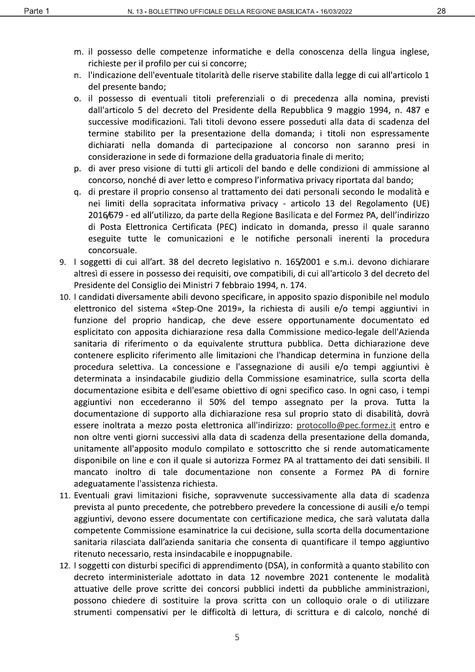- m. il possesso delle competenze informatiche e della conoscenza della lingua inglese, richieste per il profilo per cui si concorre;
- n. l'indicazione dell'eventuale titolarità delle riserve stabilite dalla legge di cui all'articolo 1 del presente bando;
- o. il possesso di eventuali titoli preferenziali o di precedenza alla nomina, previsti dall'articolo 5 del decreto del Presidente della Repubblica 9 maggio 1994, n. 487 e successive modificazioni. Tali titoli devono essere posseduti alla data di scadenza del termine stabilito per la presentazione della domanda; i titoli non espressamente dichiarati nella domanda di partecipazione al concorso non saranno presi in considerazione in sede di formazione della graduatoria finale di merito;
- p. di aver preso visione di tutti gli articoli del bando e delle condizioni di ammissione al concorso, nonché di aver letto e compreso l'informativa privacy riportata dal bando;
- g. di prestare il proprio consenso al trattamento dei dati personali secondo le modalità e nei limiti della sopracitata informativa privacy - articolo 13 del Regolamento (UE) 2016/679 - ed all'utilizzo, da parte della Regione Basilicata e del Formez PA, dell'indirizzo di Posta Elettronica Certificata (PEC) indicato in domanda, presso il quale saranno eseguite tutte le comunicazioni e le notifiche personali inerenti la procedura concorsuale.
- 9. I soggetti di cui all'art. 38 del decreto legislativo n. 165/2001 e s.m.i. devono dichiarare altresì di essere in possesso dei requisiti, ove compatibili, di cui all'articolo 3 del decreto del Presidente del Consiglio dei Ministri 7 febbraio 1994, n. 174.
- 10. I candidati diversamente abili devono specificare, in apposito spazio disponibile nel modulo elettronico del sistema «Step-One 2019», la richiesta di ausili e/o tempi aggiuntivi in funzione del proprio handicap, che deve essere opportunamente documentato ed esplicitato con apposita dichiarazione resa dalla Commissione medico-legale dell'Azienda sanitaria di riferimento o da equivalente struttura pubblica. Detta dichiarazione deve contenere esplicito riferimento alle limitazioni che l'handicap determina in funzione della procedura selettiva. La concessione e l'assegnazione di ausili e/o tempi aggiuntivi è determinata a insindacabile giudizio della Commissione esaminatrice, sulla scorta della documentazione esibita e dell'esame obiettivo di ogni specifico caso. In ogni caso, i tempi aggiuntivi non eccederanno il 50% del tempo assegnato per la prova. Tutta la documentazione di supporto alla dichiarazione resa sul proprio stato di disabilità, dovrà essere inoltrata a mezzo posta elettronica all'indirizzo: protocollo@pec.formez.it entro e non oltre venti giorni successivi alla data di scadenza della presentazione della domanda, unitamente all'apposito modulo compilato e sottoscritto che si rende automaticamente disponibile on line e con il quale si autorizza Formez PA al trattamento dei dati sensibili. Il mancato inoltro di tale documentazione non consente a Formez PA di fornire adeguatamente l'assistenza richiesta.
- 11. Eventuali gravi limitazioni fisiche, sopravvenute successivamente alla data di scadenza prevista al punto precedente, che potrebbero prevedere la concessione di ausili e/o tempi aggiuntivi, devono essere documentate con certificazione medica, che sarà valutata dalla competente Commissione esaminatrice la cui decisione, sulla scorta della documentazione sanitaria rilasciata dall'azienda sanitaria che consenta di quantificare il tempo aggiuntivo ritenuto necessario, resta insindacabile e inoppugnabile.
- 12. I soggetti con disturbi specifici di apprendimento (DSA), in conformità a quanto stabilito con decreto interministeriale adottato in data 12 novembre 2021 contenente le modalità attuative delle prove scritte dei concorsi pubblici indetti da pubbliche amministrazioni, possono chiedere di sostituire la prova scritta con un colloquio orale o di utilizzare strumenti compensativi per le difficoltà di lettura, di scrittura e di calcolo, nonché di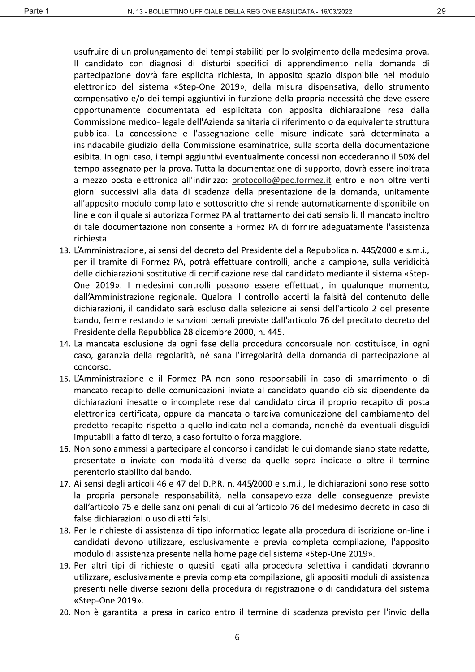usufruire di un prolungamento dei tempi stabiliti per lo svolgimento della medesima prova. Il candidato con diagnosi di disturbi specifici di apprendimento nella domanda di partecipazione dovrà fare esplicita richiesta, in apposito spazio disponibile nel modulo elettronico del sistema «Step-One 2019», della misura dispensativa, dello strumento compensativo e/o dei tempi aggiuntivi in funzione della propria necessità che deve essere opportunamente documentata ed esplicitata con apposita dichiarazione resa dalla Commissione medico- legale dell'Azienda sanitaria di riferimento o da equivalente struttura pubblica. La concessione e l'assegnazione delle misure indicate sarà determinata a insindacabile giudizio della Commissione esaminatrice, sulla scorta della documentazione esibita. In ogni caso, i tempi aggiuntivi eventualmente concessi non eccederanno il 50% del tempo assegnato per la prova. Tutta la documentazione di supporto, dovrà essere inoltrata a mezzo posta elettronica all'indirizzo: protocollo@pec.formez.it entro e non oltre venti giorni successivi alla data di scadenza della presentazione della domanda, unitamente all'apposito modulo compilato e sottoscritto che si rende automaticamente disponibile on line e con il quale si autorizza Formez PA al trattamento dei dati sensibili. Il mancato inoltro di tale documentazione non consente a Formez PA di fornire adeguatamente l'assistenza richiesta.

- 13. L'Amministrazione, ai sensi del decreto del Presidente della Repubblica n. 445/2000 e s.m.i., per il tramite di Formez PA, potrà effettuare controlli, anche a campione, sulla veridicità delle dichiarazioni sostitutive di certificazione rese dal candidato mediante il sistema «Step-One 2019». I medesimi controlli possono essere effettuati, in qualunque momento, dall'Amministrazione regionale. Qualora il controllo accerti la falsità del contenuto delle dichiarazioni, il candidato sarà escluso dalla selezione ai sensi dell'articolo 2 del presente bando, ferme restando le sanzioni penali previste dall'articolo 76 del precitato decreto del Presidente della Repubblica 28 dicembre 2000, n. 445.
- 14. La mancata esclusione da ogni fase della procedura concorsuale non costituisce, in ogni caso, garanzia della regolarità, né sana l'irregolarità della domanda di partecipazione al concorso.
- 15. L'Amministrazione e il Formez PA non sono responsabili in caso di smarrimento o di mancato recapito delle comunicazioni inviate al candidato quando ciò sia dipendente da dichiarazioni inesatte o incomplete rese dal candidato circa il proprio recapito di posta elettronica certificata, oppure da mancata o tardiva comunicazione del cambiamento del predetto recapito rispetto a quello indicato nella domanda, nonché da eventuali disguidi imputabili a fatto di terzo, a caso fortuito o forza maggiore.
- 16. Non sono ammessi a partecipare al concorso i candidati le cui domande siano state redatte, presentate o inviate con modalità diverse da quelle sopra indicate o oltre il termine perentorio stabilito dal bando.
- 17. Ai sensi degli articoli 46 e 47 del D.P.R. n. 445/2000 e s.m.i., le dichiarazioni sono rese sotto la propria personale responsabilità, nella consapevolezza delle conseguenze previste dall'articolo 75 e delle sanzioni penali di cui all'articolo 76 del medesimo decreto in caso di false dichiarazioni o uso di atti falsi.
- 18. Per le richieste di assistenza di tipo informatico legate alla procedura di iscrizione on-line i candidati devono utilizzare, esclusivamente e previa completa compilazione, l'apposito modulo di assistenza presente nella home page del sistema «Step-One 2019».
- 19. Per altri tipi di richieste o quesiti legati alla procedura selettiva i candidati dovranno utilizzare, esclusivamente e previa completa compilazione, gli appositi moduli di assistenza presenti nelle diverse sezioni della procedura di registrazione o di candidatura del sistema «Step-One 2019».
- 20. Non è garantita la presa in carico entro il termine di scadenza previsto per l'invio della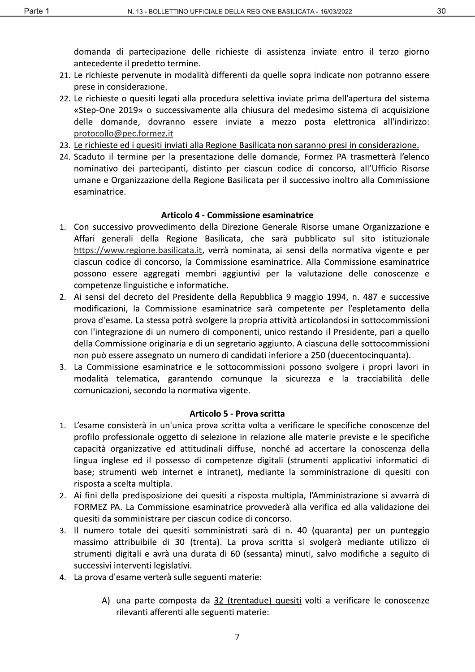domanda di partecipazione delle richieste di assistenza inviate entro il terzo giorno antecedente il predetto termine.

- 21. Le richieste pervenute in modalità differenti da quelle sopra indicate non potranno essere prese in considerazione.
- 22. Le richieste o quesiti legati alla procedura selettiva inviate prima dell'apertura del sistema «Step-One 2019» o successivamente alla chiusura del medesimo sistema di acquisizione delle domande, dovranno essere inviate a mezzo posta elettronica all'indirizzo: protocollo@pec.formez.it
- 23. Le richieste ed i quesiti inviati alla Regione Basilicata non saranno presi in considerazione.
- 24. Scaduto il termine per la presentazione delle domande, Formez PA trasmetterà l'elenco nominativo dei partecipanti, distinto per ciascun codice di concorso, all'Ufficio Risorse umane e Organizzazione della Regione Basilicata per il successivo inoltro alla Commissione esaminatrice.

#### Articolo 4 - Commissione esaminatrice

- 1. Con successivo provvedimento della Direzione Generale Risorse umane Organizzazione e Affari generali della Regione Basilicata, che sarà pubblicato sul sito istituzionale https://www.regione.basilicata.it, verrà nominata, ai sensi della normativa vigente e per ciascun codice di concorso, la Commissione esaminatrice. Alla Commissione esaminatrice possono essere aggregati membri aggiuntivi per la valutazione delle conoscenze e competenze linguistiche e informatiche.
- 2. Ai sensi del decreto del Presidente della Repubblica 9 maggio 1994, n. 487 e successive modificazioni, la Commissione esaminatrice sarà competente per l'espletamento della prova d'esame. La stessa potrà svolgere la propria attività articolandosi in sottocommissioni con l'integrazione di un numero di componenti, unico restando il Presidente, pari a quello della Commissione originaria e di un segretario aggiunto. A ciascuna delle sottocommissioni non può essere assegnato un numero di candidati inferiore a 250 (duecentocinguanta).
- 3. La Commissione esaminatrice e le sottocommissioni possono svolgere i propri lavori in modalità telematica, garantendo comunque la sicurezza e la tracciabilità delle comunicazioni, secondo la normativa vigente.

#### Articolo 5 - Prova scritta

- 1. L'esame consisterà in un'unica prova scritta volta a verificare le specifiche conoscenze del profilo professionale oggetto di selezione in relazione alle materie previste e le specifiche capacità organizzative ed attitudinali diffuse, nonché ad accertare la conoscenza della lingua inglese ed il possesso di competenze digitali (strumenti applicativi informatici di base; strumenti web internet e intranet), mediante la somministrazione di quesiti con risposta a scelta multipla.
- 2. Ai fini della predisposizione dei quesiti a risposta multipla, l'Amministrazione si avvarrà di FORMEZ PA. La Commissione esaminatrice provvederà alla verifica ed alla validazione dei quesiti da somministrare per ciascun codice di concorso.
- 3. Il numero totale dei quesiti somministrati sarà di n. 40 (quaranta) per un punteggio massimo attribuibile di 30 (trenta). La prova scritta si svolgerà mediante utilizzo di strumenti digitali e avrà una durata di 60 (sessanta) minuti, salvo modifiche a seguito di successivi interventi legislativi.
- 4. La prova d'esame verterà sulle seguenti materie:
	- A) una parte composta da 32 (trentadue) quesiti volti a verificare le conoscenze rilevanti afferenti alle seguenti materie: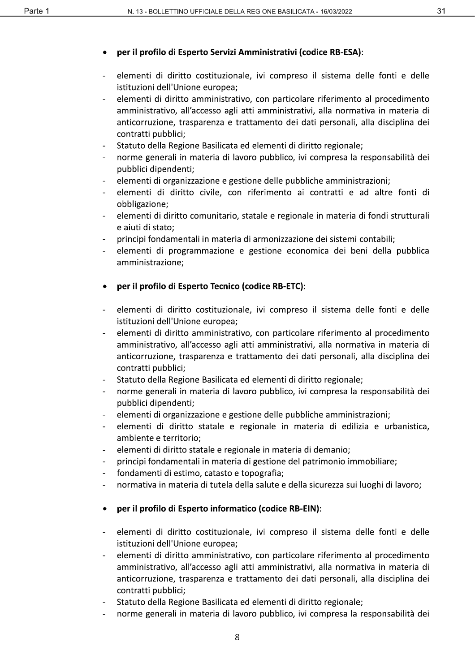# per il profilo di Esperto Servizi Amministrativi (codice RB-ESA):

- elementi di diritto costituzionale, ivi compreso il sistema delle fonti e delle istituzioni dell'Unione europea;
- elementi di diritto amministrativo, con particolare riferimento al procedimento amministrativo, all'accesso agli atti amministrativi, alla normativa in materia di anticorruzione, trasparenza e trattamento dei dati personali, alla disciplina dei contratti pubblici;
- Statuto della Regione Basilicata ed elementi di diritto regionale;
- norme generali in materia di lavoro pubblico, ivi compresa la responsabilità dei pubblici dipendenti;
- elementi di organizzazione e gestione delle pubbliche amministrazioni;
- elementi di diritto civile, con riferimento ai contratti e ad altre fonti di obbligazione;
- elementi di diritto comunitario, statale e regionale in materia di fondi strutturali  $\overline{a}$ e aiuti di stato;
- principi fondamentali in materia di armonizzazione dei sistemi contabili;
- elementi di programmazione e gestione economica dei beni della pubblica amministrazione;
- per il profilo di Esperto Tecnico (codice RB-ETC):
- elementi di diritto costituzionale, ivi compreso il sistema delle fonti e delle istituzioni dell'Unione europea;
- elementi di diritto amministrativo, con particolare riferimento al procedimento amministrativo, all'accesso agli atti amministrativi, alla normativa in materia di anticorruzione, trasparenza e trattamento dei dati personali, alla disciplina dei contratti pubblici;
- Statuto della Regione Basilicata ed elementi di diritto regionale;
- norme generali in materia di lavoro pubblico, ivi compresa la responsabilità dei pubblici dipendenti;
- elementi di organizzazione e gestione delle pubbliche amministrazioni;
- elementi di diritto statale e regionale in materia di edilizia e urbanistica,  $\sim$ ambiente e territorio;
- elementi di diritto statale e regionale in materia di demanio;  $\sim$
- principi fondamentali in materia di gestione del patrimonio immobiliare;
- fondamenti di estimo, catasto e topografia;
- normativa in materia di tutela della salute e della sicurezza sui luoghi di lavoro;
- per il profilo di Esperto informatico (codice RB-EIN):  $\bullet$
- elementi di diritto costituzionale, ivi compreso il sistema delle fonti e delle istituzioni dell'Unione europea;
- elementi di diritto amministrativo, con particolare riferimento al procedimento amministrativo, all'accesso agli atti amministrativi, alla normativa in materia di anticorruzione, trasparenza e trattamento dei dati personali, alla disciplina dei contratti pubblici;
- Statuto della Regione Basilicata ed elementi di diritto regionale;
- norme generali in materia di lavoro pubblico, ivi compresa la responsabilità dei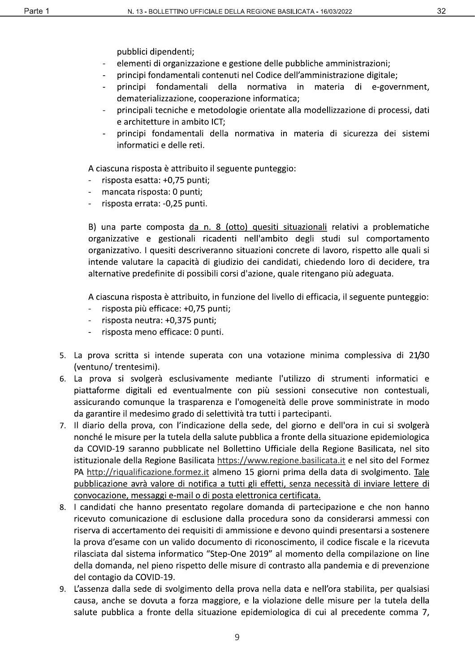pubblici dipendenti;

- elementi di organizzazione e gestione delle pubbliche amministrazioni;
- principi fondamentali contenuti nel Codice dell'amministrazione digitale;
- principi fondamentali della normativa in materia di e-government, dematerializzazione, cooperazione informatica;
- principali tecniche e metodologie orientate alla modellizzazione di processi, dati e architetture in ambito ICT;
- principi fondamentali della normativa in materia di sicurezza dei sistemi informatici e delle reti.

A ciascuna risposta è attribuito il seguente punteggio:

- risposta esatta: +0,75 punti;
- mancata risposta: 0 punti;
- risposta errata: -0,25 punti.

B) una parte composta da n. 8 (otto) quesiti situazionali relativi a problematiche organizzative e gestionali ricadenti nell'ambito degli studi sul comportamento organizzativo. I quesiti descriveranno situazioni concrete di lavoro, rispetto alle quali si intende valutare la capacità di giudizio dei candidati, chiedendo loro di decidere, tra alternative predefinite di possibili corsi d'azione, quale ritengano più adeguata.

A ciascuna risposta è attribuito, in funzione del livello di efficacia, il seguente punteggio:

- risposta più efficace: +0,75 punti;
- risposta neutra: +0,375 punti;  $\omega$
- risposta meno efficace: 0 punti.
- 5. La prova scritta si intende superata con una votazione minima complessiva di 21/30 (ventuno/ trentesimi).
- 6. La prova si svolgerà esclusivamente mediante l'utilizzo di strumenti informatici e piattaforme digitali ed eventualmente con più sessioni consecutive non contestuali, assicurando comunque la trasparenza e l'omogeneità delle prove somministrate in modo da garantire il medesimo grado di selettività tra tutti i partecipanti.
- 7. Il diario della prova, con l'indicazione della sede, del giorno e dell'ora in cui si svolgerà nonché le misure per la tutela della salute pubblica a fronte della situazione epidemiologica da COVID-19 saranno pubblicate nel Bollettino Ufficiale della Regione Basilicata, nel sito istituzionale della Regione Basilicata https://www.regione.basilicata.it e nel sito del Formez PA http://riqualificazione.formez.it almeno 15 giorni prima della data di svolgimento. Tale pubblicazione avrà valore di notifica a tutti gli effetti, senza necessità di inviare lettere di convocazione, messaggi e-mail o di posta elettronica certificata.
- 8. I candidati che hanno presentato regolare domanda di partecipazione e che non hanno ricevuto comunicazione di esclusione dalla procedura sono da considerarsi ammessi con riserva di accertamento dei requisiti di ammissione e devono quindi presentarsi a sostenere la prova d'esame con un valido documento di riconoscimento, il codice fiscale e la ricevuta rilasciata dal sistema informatico "Step-One 2019" al momento della compilazione on line della domanda, nel pieno rispetto delle misure di contrasto alla pandemia e di prevenzione del contagio da COVID-19.
- 9. L'assenza dalla sede di svolgimento della prova nella data e nell'ora stabilita, per qualsiasi causa, anche se dovuta a forza maggiore, e la violazione delle misure per la tutela della salute pubblica a fronte della situazione epidemiologica di cui al precedente comma 7,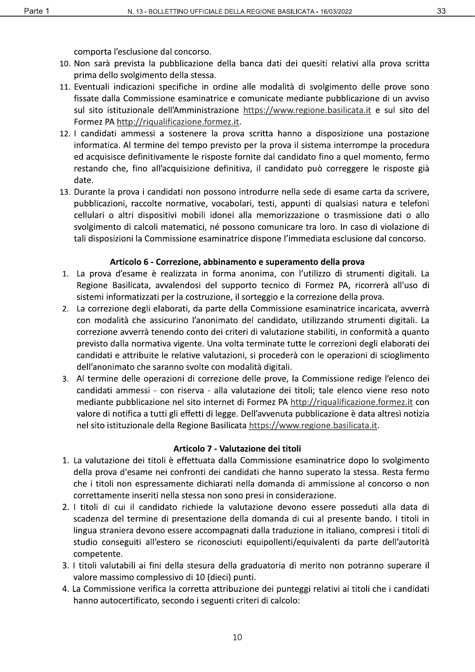comporta l'esclusione dal concorso.

- 10. Non sarà prevista la pubblicazione della banca dati dei quesiti relativi alla prova scritta prima dello svolgimento della stessa.
- 11. Eventuali indicazioni specifiche in ordine alle modalità di svolgimento delle prove sono fissate dalla Commissione esaminatrice e comunicate mediante pubblicazione di un avviso sul sito istituzionale dell'Amministrazione https://www.regione.basilicata.it e sul sito del Formez PA http://riqualificazione.formez.it.
- 12. I candidati ammessi a sostenere la prova scritta hanno a disposizione una postazione informatica. Al termine del tempo previsto per la prova il sistema interrompe la procedura ed acquisisce definitivamente le risposte fornite dal candidato fino a quel momento, fermo restando che, fino all'acquisizione definitiva, il candidato può correggere le risposte già date.
- 13. Durante la prova i candidati non possono introdurre nella sede di esame carta da scrivere, pubblicazioni, raccolte normative, vocabolari, testi, appunti di qualsiasi natura e telefoni cellulari o altri dispositivi mobili idonei alla memorizzazione o trasmissione dati o allo svolgimento di calcoli matematici, né possono comunicare tra loro. In caso di violazione di tali disposizioni la Commissione esaminatrice dispone l'immediata esclusione dal concorso.

#### Articolo 6 - Correzione, abbinamento e superamento della prova

- 1. La prova d'esame è realizzata in forma anonima, con l'utilizzo di strumenti digitali. La Regione Basilicata, avvalendosi del supporto tecnico di Formez PA, ricorrerà all'uso di sistemi informatizzati per la costruzione, il sorteggio e la correzione della prova.
- 2. La correzione degli elaborati, da parte della Commissione esaminatrice incaricata, avverrà con modalità che assicurino l'anonimato del candidato, utilizzando strumenti digitali. La correzione avverrà tenendo conto dei criteri di valutazione stabiliti, in conformità a quanto previsto dalla normativa vigente. Una volta terminate tutte le correzioni degli elaborati dei candidati e attribuite le relative valutazioni, si procederà con le operazioni di scioglimento dell'anonimato che saranno svolte con modalità digitali.
- 3. Al termine delle operazioni di correzione delle prove, la Commissione redige l'elenco dei candidati ammessi - con riserva - alla valutazione dei titoli; tale elenco viene reso noto mediante pubblicazione nel sito internet di Formez PA http://riqualificazione.formez.it con valore di notifica a tutti gli effetti di legge. Dell'avvenuta pubblicazione è data altresì notizia nel sito istituzionale della Regione Basilicata https://www.regione.basilicata.it.

#### Articolo 7 - Valutazione dei titoli

- 1. La valutazione dei titoli è effettuata dalla Commissione esaminatrice dopo lo svolgimento della prova d'esame nei confronti dei candidati che hanno superato la stessa. Resta fermo che i titoli non espressamente dichiarati nella domanda di ammissione al concorso o non correttamente inseriti nella stessa non sono presi in considerazione.
- 2. I titoli di cui il candidato richiede la valutazione devono essere posseduti alla data di scadenza del termine di presentazione della domanda di cui al presente bando. I titoli in lingua straniera devono essere accompagnati dalla traduzione in italiano, compresi i titoli di studio conseguiti all'estero se riconosciuti equipollenti/equivalenti da parte dell'autorità competente.
- 3. I titoli valutabili ai fini della stesura della graduatoria di merito non potranno superare il valore massimo complessivo di 10 (dieci) punti.
- 4. La Commissione verifica la corretta attribuzione dei punteggi relativi ai titoli che i candidati hanno autocertificato, secondo i seguenti criteri di calcolo: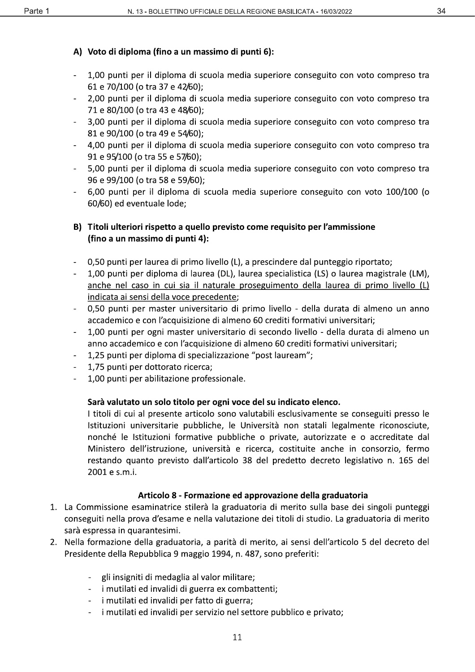# A) Voto di diploma (fino a un massimo di punti 6):

- 1,00 punti per il diploma di scuola media superiore conseguito con voto compreso tra 61 e 70/100 (o tra 37 e 42/60);
- 2,00 punti per il diploma di scuola media superiore conseguito con voto compreso tra 71 e 80/100 (o tra 43 e 48/60);
- 3,00 punti per il diploma di scuola media superiore conseguito con voto compreso tra 81 e 90/100 (o tra 49 e 54/60);
- 4.00 punti per il diploma di scuola media superiore conseguito con voto compreso tra  $\mathbb{L}^{\mathbb{N}}$ 91 e 95/100 (o tra 55 e 57/60);
- 5,00 punti per il diploma di scuola media superiore conseguito con voto compreso tra 96 e 99/100 (o tra 58 e 59/60);
- 6,00 punti per il diploma di scuola media superiore conseguito con voto 100/100 (o 60/60) ed eventuale lode;

### B) Titoli ulteriori rispetto a quello previsto come requisito per l'ammissione (fino a un massimo di punti 4):

- 0,50 punti per laurea di primo livello (L), a prescindere dal punteggio riportato;
- 1,00 punti per diploma di laurea (DL), laurea specialistica (LS) o laurea magistrale (LM),  $\Box$ anche nel caso in cui sia il naturale proseguimento della laurea di primo livello (L) indicata ai sensi della voce precedente;
- 0,50 punti per master universitario di primo livello della durata di almeno un anno accademico e con l'acquisizione di almeno 60 crediti formativi universitari;
- 1,00 punti per ogni master universitario di secondo livello della durata di almeno un anno accademico e con l'acquisizione di almeno 60 crediti formativi universitari;
- 1,25 punti per diploma di specializzazione "post lauream";  $\blacksquare$
- 1,75 punti per dottorato ricerca;
- 1,00 punti per abilitazione professionale.

## Sarà valutato un solo titolo per ogni voce del su indicato elenco.

I titoli di cui al presente articolo sono valutabili esclusivamente se conseguiti presso le Istituzioni universitarie pubbliche, le Università non statali legalmente riconosciute, nonché le Istituzioni formative pubbliche o private, autorizzate e o accreditate dal Ministero dell'istruzione, università e ricerca, costituite anche in consorzio, fermo restando quanto previsto dall'articolo 38 del predetto decreto legislativo n. 165 del 2001 e s.m.i.

## Articolo 8 - Formazione ed approvazione della graduatoria

- 1. La Commissione esaminatrice stilerà la graduatoria di merito sulla base dei singoli punteggi conseguiti nella prova d'esame e nella valutazione dei titoli di studio. La graduatoria di merito sarà espressa in quarantesimi.
- 2. Nella formazione della graduatoria, a parità di merito, ai sensi dell'articolo 5 del decreto del Presidente della Repubblica 9 maggio 1994, n. 487, sono preferiti:
	- gli insigniti di medaglia al valor militare;
	- i mutilati ed invalidi di guerra ex combattenti;
	- i mutilati ed invalidi per fatto di guerra;
	- i mutilati ed invalidi per servizio nel settore pubblico e privato;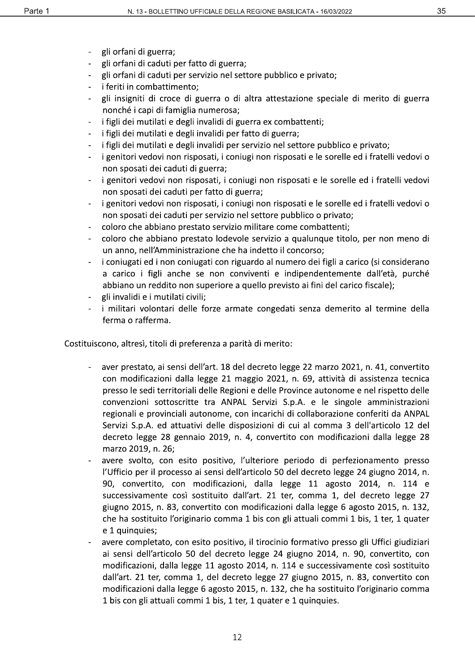- gli orfani di guerra;
- gli orfani di caduti per fatto di guerra;
- gli orfani di caduti per servizio nel settore pubblico e privato;
- i feriti in combattimento;  $\sim$
- gli insigniti di croce di guerra o di altra attestazione speciale di merito di guerra nonché i capi di famiglia numerosa;
- i figli dei mutilati e degli invalidi di guerra ex combattenti;
- i figli dei mutilati e degli invalidi per fatto di guerra;
- i figli dei mutilati e degli invalidi per servizio nel settore pubblico e privato;  $\sim$
- i genitori vedovi non risposati, i coniugi non risposati e le sorelle ed i fratelli vedovi o non sposati dei caduti di guerra;
- i genitori vedovi non risposati, i coniugi non risposati e le sorelle ed i fratelli vedovi non sposati dei caduti per fatto di guerra;
- i genitori vedovi non risposati, i coniugi non risposati e le sorelle ed i fratelli vedovi o non sposati dei caduti per servizio nel settore pubblico o privato;
- coloro che abbiano prestato servizio militare come combattenti;
- coloro che abbiano prestato lodevole servizio a qualunque titolo, per non meno di un anno, nell'Amministrazione che ha indetto il concorso;
- i coniugati ed i non coniugati con riguardo al numero dei figli a carico (si considerano a carico i figli anche se non conviventi e indipendentemente dall'età, purché abbiano un reddito non superiore a quello previsto ai fini del carico fiscale);
- gli invalidi e i mutilati civili;
- i militari volontari delle forze armate congedati senza demerito al termine della ferma o rafferma.

Costituiscono, altresì, titoli di preferenza a parità di merito:

- aver prestato, ai sensi dell'art. 18 del decreto legge 22 marzo 2021, n. 41, convertito con modificazioni dalla legge 21 maggio 2021, n. 69, attività di assistenza tecnica presso le sedi territoriali delle Regioni e delle Province autonome e nel rispetto delle convenzioni sottoscritte tra ANPAL Servizi S.p.A. e le singole amministrazioni regionali e provinciali autonome, con incarichi di collaborazione conferiti da ANPAL Servizi S.p.A. ed attuativi delle disposizioni di cui al comma 3 dell'articolo 12 del decreto legge 28 gennaio 2019, n. 4, convertito con modificazioni dalla legge 28 marzo 2019, n. 26;
- avere svolto, con esito positivo, l'ulteriore periodo di perfezionamento presso l'Ufficio per il processo ai sensi dell'articolo 50 del decreto legge 24 giugno 2014, n. 90, convertito, con modificazioni, dalla legge 11 agosto 2014, n. 114 e successivamente così sostituito dall'art. 21 ter, comma 1, del decreto legge 27 giugno 2015, n. 83, convertito con modificazioni dalla legge 6 agosto 2015, n. 132, che ha sostituito l'originario comma 1 bis con gli attuali commi 1 bis, 1 ter, 1 quater e 1 quinquies:
- avere completato, con esito positivo, il tirocinio formativo presso gli Uffici giudiziari ai sensi dell'articolo 50 del decreto legge 24 giugno 2014, n. 90, convertito, con modificazioni, dalla legge 11 agosto 2014, n. 114 e successivamente così sostituito dall'art. 21 ter, comma 1, del decreto legge 27 giugno 2015, n. 83, convertito con modificazioni dalla legge 6 agosto 2015, n. 132, che ha sostituito l'originario comma 1 bis con gli attuali commi 1 bis, 1 ter, 1 quater e 1 quinquies.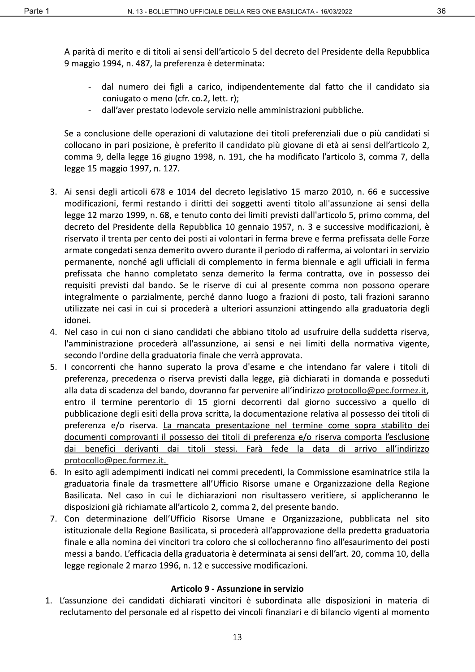A parità di merito e di titoli ai sensi dell'articolo 5 del decreto del Presidente della Repubblica 9 maggio 1994, n. 487, la preferenza è determinata:

- dal numero dei figli a carico, indipendentemente dal fatto che il candidato sia coniugato o meno (cfr. co.2, lett. r);
- dall'aver prestato lodevole servizio nelle amministrazioni pubbliche.

Se a conclusione delle operazioni di valutazione dei titoli preferenziali due o più candidati si collocano in pari posizione, è preferito il candidato più giovane di età ai sensi dell'articolo 2, comma 9, della legge 16 giugno 1998, n. 191, che ha modificato l'articolo 3, comma 7, della legge 15 maggio 1997, n. 127.

- 3. Ai sensi degli articoli 678 e 1014 del decreto legislativo 15 marzo 2010, n. 66 e successive modificazioni, fermi restando i diritti dei soggetti aventi titolo all'assunzione ai sensi della legge 12 marzo 1999, n. 68, e tenuto conto dei limiti previsti dall'articolo 5, primo comma, del decreto del Presidente della Repubblica 10 gennaio 1957, n. 3 e successive modificazioni, è riservato il trenta per cento dei posti ai volontari in ferma breve e ferma prefissata delle Forze armate congedati senza demerito ovvero durante il periodo di rafferma, ai volontari in servizio permanente, nonché agli ufficiali di complemento in ferma biennale e agli ufficiali in ferma prefissata che hanno completato senza demerito la ferma contratta, ove in possesso dei requisiti previsti dal bando. Se le riserve di cui al presente comma non possono operare integralmente o parzialmente, perché danno luogo a frazioni di posto, tali frazioni saranno utilizzate nei casi in cui si procederà a ulteriori assunzioni attingendo alla graduatoria degli idonei.
- 4. Nel caso in cui non ci siano candidati che abbiano titolo ad usufruire della suddetta riserva, l'amministrazione procederà all'assunzione, ai sensi e nei limiti della normativa vigente, secondo l'ordine della graduatoria finale che verrà approvata.
- 5. I concorrenti che hanno superato la prova d'esame e che intendano far valere i titoli di preferenza, precedenza o riserva previsti dalla legge, già dichiarati in domanda e posseduti alla data di scadenza del bando, dovranno far pervenire all'indirizzo protocollo@pec.formez.it, entro il termine perentorio di 15 giorni decorrenti dal giorno successivo a quello di pubblicazione degli esiti della prova scritta, la documentazione relativa al possesso dei titoli di preferenza e/o riserva. La mancata presentazione nel termine come sopra stabilito dei documenti comprovanti il possesso dei titoli di preferenza e/o riserva comporta l'esclusione dai benefici derivanti dai <u>titoli</u> stessi. **Farà** fede la data  $di$ arrivo all'indirizzo protocollo@pec.formez.it.
- 6. In esito agli adempimenti indicati nei commi precedenti, la Commissione esaminatrice stila la graduatoria finale da trasmettere all'Ufficio Risorse umane e Organizzazione della Regione Basilicata. Nel caso in cui le dichiarazioni non risultassero veritiere, si applicheranno le disposizioni già richiamate all'articolo 2, comma 2, del presente bando.
- 7. Con determinazione dell'Ufficio Risorse Umane e Organizzazione, pubblicata nel sito istituzionale della Regione Basilicata, si procederà all'approvazione della predetta graduatoria finale e alla nomina dei vincitori tra coloro che si collocheranno fino all'esaurimento dei posti messi a bando. L'efficacia della graduatoria è determinata ai sensi dell'art. 20, comma 10, della legge regionale 2 marzo 1996, n. 12 e successive modificazioni.

#### Articolo 9 - Assunzione in servizio

1. L'assunzione dei candidati dichiarati vincitori è subordinata alle disposizioni in materia di reclutamento del personale ed al rispetto dei vincoli finanziari e di bilancio vigenti al momento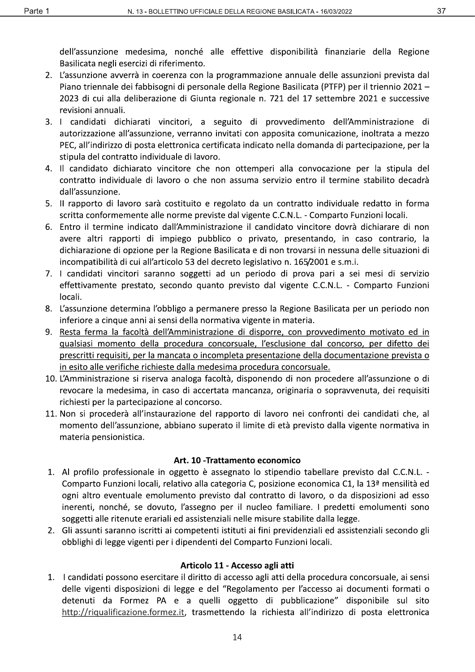dell'assunzione medesima, nonché alle effettive disponibilità finanziarie della Regione Basilicata negli esercizi di riferimento.

- 2. L'assunzione avverrà in coerenza con la programmazione annuale delle assunzioni prevista dal Piano triennale dei fabbisogni di personale della Regione Basilicata (PTFP) per il triennio 2021 – 2023 di cui alla deliberazione di Giunta regionale n. 721 del 17 settembre 2021 e successive revisioni annuali.
- 3. I candidati dichiarati vincitori, a seguito di provvedimento dell'Amministrazione di autorizzazione all'assunzione, verranno invitati con apposita comunicazione, inoltrata a mezzo PEC, all'indirizzo di posta elettronica certificata indicato nella domanda di partecipazione, per la stipula del contratto individuale di lavoro.
- 4. Il candidato dichiarato vincitore che non ottemperi alla convocazione per la stipula del contratto individuale di lavoro o che non assuma servizio entro il termine stabilito decadrà dall'assunzione.
- 5. Il rapporto di lavoro sarà costituito e regolato da un contratto individuale redatto in forma scritta conformemente alle norme previste dal vigente C.C.N.L. - Comparto Funzioni locali.
- 6. Entro il termine indicato dall'Amministrazione il candidato vincitore dovrà dichiarare di non avere altri rapporti di impiego pubblico o privato, presentando, in caso contrario, la dichiarazione di opzione per la Regione Basilicata e di non trovarsi in nessuna delle situazioni di incompatibilità di cui all'articolo 53 del decreto legislativo n. 165/2001 e s.m.i.
- 7. I candidati vincitori saranno soggetti ad un periodo di prova pari a sei mesi di servizio effettivamente prestato, secondo quanto previsto dal vigente C.C.N.L. - Comparto Funzioni locali.
- 8. L'assunzione determina l'obbligo a permanere presso la Regione Basilicata per un periodo non inferiore a cinque anni ai sensi della normativa vigente in materia.
- 9. Resta ferma la facoltà dell'Amministrazione di disporre, con provvedimento motivato ed in qualsiasi momento della procedura concorsuale, l'esclusione dal concorso, per difetto dei prescritti requisiti, per la mancata o incompleta presentazione della documentazione prevista o in esito alle verifiche richieste dalla medesima procedura concorsuale.
- 10. L'Amministrazione si riserva analoga facoltà, disponendo di non procedere all'assunzione o di revocare la medesima, in caso di accertata mancanza, originaria o sopravvenuta, dei requisiti richiesti per la partecipazione al concorso.
- 11. Non si procederà all'instaurazione del rapporto di lavoro nei confronti dei candidati che, al momento dell'assunzione, abbiano superato il limite di età previsto dalla vigente normativa in materia pensionistica.

#### Art. 10 - Trattamento economico

- 1. Al profilo professionale in oggetto è assegnato lo stipendio tabellare previsto dal C.C.N.L. -Comparto Funzioni locali, relativo alla categoria C, posizione economica C1, la 13<sup>ª</sup> mensilità ed ogni altro eventuale emolumento previsto dal contratto di lavoro, o da disposizioni ad esso inerenti, nonché, se dovuto, l'assegno per il nucleo familiare. I predetti emolumenti sono soggetti alle ritenute erariali ed assistenziali nelle misure stabilite dalla legge.
- 2. Gli assunti saranno iscritti ai competenti istituti ai fini previdenziali ed assistenziali secondo gli obblighi di legge vigenti per i dipendenti del Comparto Funzioni locali.

#### Articolo 11 - Accesso agli atti

1. I candidati possono esercitare il diritto di accesso agli atti della procedura concorsuale, ai sensi delle vigenti disposizioni di legge e del "Regolamento per l'accesso ai documenti formati o detenuti da Formez PA e a quelli oggetto di pubblicazione" disponibile sul sito http://riqualificazione.formez.it, trasmettendo la richiesta all'indirizzo di posta elettronica

37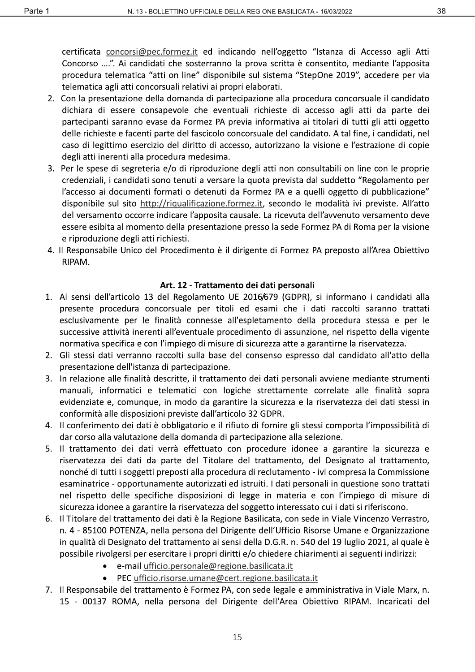certificata concorsi@pec.formez.it ed indicando nell'oggetto "Istanza di Accesso agli Atti

Concorso ....". Ai candidati che sosterranno la prova scritta è consentito, mediante l'apposita procedura telematica "atti on line" disponibile sul sistema "StepOne 2019", accedere per via telematica agli atti concorsuali relativi ai propri elaborati.

- 2. Con la presentazione della domanda di partecipazione alla procedura concorsuale il candidato dichiara di essere consapevole che eventuali richieste di accesso agli atti da parte dei partecipanti saranno evase da Formez PA previa informativa ai titolari di tutti gli atti oggetto delle richieste e facenti parte del fascicolo concorsuale del candidato. A tal fine, i candidati, nel caso di legittimo esercizio del diritto di accesso, autorizzano la visione e l'estrazione di copie degli atti inerenti alla procedura medesima.
- 3. Per le spese di segreteria e/o di riproduzione degli atti non consultabili on line con le proprie credenziali, i candidati sono tenuti a versare la quota prevista dal suddetto "Regolamento per l'accesso ai documenti formati o detenuti da Formez PA e a quelli oggetto di pubblicazione" disponibile sul sito http://riqualificazione.formez.it, secondo le modalità ivi previste. All'atto del versamento occorre indicare l'apposita causale. La ricevuta dell'avvenuto versamento deve essere esibita al momento della presentazione presso la sede Formez PA di Roma per la visione e riproduzione degli atti richiesti.
- 4. Il Responsabile Unico del Procedimento è il dirigente di Formez PA preposto all'Area Obiettivo RIPAM.

#### Art. 12 - Trattamento dei dati personali

- 1. Ai sensi dell'articolo 13 del Regolamento UE 2016/679 (GDPR), si informano i candidati alla presente procedura concorsuale per titoli ed esami che i dati raccolti saranno trattati esclusivamente per le finalità connesse all'espletamento della procedura stessa e per le successive attività inerenti all'eventuale procedimento di assunzione, nel rispetto della vigente normativa specifica e con l'impiego di misure di sicurezza atte a garantirne la riservatezza.
- 2. Gli stessi dati verranno raccolti sulla base del consenso espresso dal candidato all'atto della presentazione dell'istanza di partecipazione.
- 3. In relazione alle finalità descritte, il trattamento dei dati personali avviene mediante strumenti manuali, informatici e telematici con logiche strettamente correlate alle finalità sopra evidenziate e, comunque, in modo da garantire la sicurezza e la riservatezza dei dati stessi in conformità alle disposizioni previste dall'articolo 32 GDPR.
- 4. Il conferimento dei dati è obbligatorio e il rifiuto di fornire gli stessi comporta l'impossibilità di dar corso alla valutazione della domanda di partecipazione alla selezione.
- 5. Il trattamento dei dati verrà effettuato con procedure idonee a garantire la sicurezza e riservatezza dei dati da parte del Titolare del trattamento, del Designato al trattamento, nonché di tutti i soggetti preposti alla procedura di reclutamento - ivi compresa la Commissione esaminatrice - opportunamente autorizzati ed istruiti. I dati personali in questione sono trattati nel rispetto delle specifiche disposizioni di legge in materia e con l'impiego di misure di sicurezza idonee a garantire la riservatezza del soggetto interessato cui i dati si riferiscono.
- 6. Il Titolare del trattamento dei dati è la Regione Basilicata, con sede in Viale Vincenzo Verrastro, n. 4 - 85100 POTENZA, nella persona del Dirigente dell'Ufficio Risorse Umane e Organizzazione in qualità di Designato del trattamento ai sensi della D.G.R. n. 540 del 19 luglio 2021, al quale è possibile rivolgersi per esercitare i propri diritti e/o chiedere chiarimenti ai seguenti indirizzi:
	- e-mail ufficio.personale@regione.basilicata.it
	- PEC ufficio.risorse.umane@cert.regione.basilicata.it  $\bullet$
- 7. Il Responsabile del trattamento è Formez PA, con sede legale e amministrativa in Viale Marx, n. 15 - 00137 ROMA, nella persona del Dirigente dell'Area Obiettivo RIPAM. Incaricati del